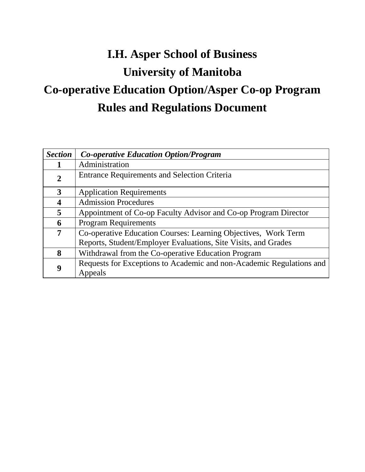# **I.H. Asper School of Business University of Manitoba Co-operative Education Option/Asper Co-op Program Rules and Regulations Document**

| <b>Section</b> | <b>Co-operative Education Option/Program</b>                         |
|----------------|----------------------------------------------------------------------|
|                | Administration                                                       |
| $\overline{2}$ | <b>Entrance Requirements and Selection Criteria</b>                  |
| 3              | <b>Application Requirements</b>                                      |
| 4              | <b>Admission Procedures</b>                                          |
| 5              | Appointment of Co-op Faculty Advisor and Co-op Program Director      |
| 6              | <b>Program Requirements</b>                                          |
| 7              | Co-operative Education Courses: Learning Objectives, Work Term       |
|                | Reports, Student/Employer Evaluations, Site Visits, and Grades       |
| 8              | Withdrawal from the Co-operative Education Program                   |
| 9              | Requests for Exceptions to Academic and non-Academic Regulations and |
|                | Appeals                                                              |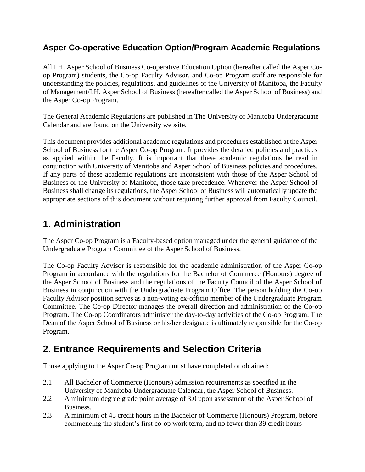### **Asper Co-operative Education Option/Program Academic Regulations**

All I.H. Asper School of Business Co-operative Education Option (hereafter called the Asper Coop Program) students, the Co-op Faculty Advisor, and Co-op Program staff are responsible for understanding the policies, regulations, and guidelines of the University of Manitoba, the Faculty of Management/I.H. Asper School of Business (hereafter called the Asper School of Business) and the Asper Co-op Program.

The General Academic Regulations are published in The University of Manitoba Undergraduate Calendar and are found on the University website.

This document provides additional academic regulations and procedures established at the Asper School of Business for the Asper Co-op Program. It provides the detailed policies and practices as applied within the Faculty. It is important that these academic regulations be read in conjunction with University of Manitoba and Asper School of Business policies and procedures. If any parts of these academic regulations are inconsistent with those of the Asper School of Business or the University of Manitoba, those take precedence. Whenever the Asper School of Business shall change its regulations, the Asper School of Business will automatically update the appropriate sections of this document without requiring further approval from Faculty Council.

# **1. Administration**

The Asper Co-op Program is a Faculty-based option managed under the general guidance of the Undergraduate Program Committee of the Asper School of Business.

The Co-op Faculty Advisor is responsible for the academic administration of the Asper Co-op Program in accordance with the regulations for the Bachelor of Commerce (Honours) degree of the Asper School of Business and the regulations of the Faculty Council of the Asper School of Business in conjunction with the Undergraduate Program Office. The person holding the Co-op Faculty Advisor position serves as a non-voting ex-officio member of the Undergraduate Program Committee. The Co-op Director manages the overall direction and administration of the Co-op Program. The Co-op Coordinators administer the day-to-day activities of the Co-op Program. The Dean of the Asper School of Business or his/her designate is ultimately responsible for the Co-op Program.

# **2. Entrance Requirements and Selection Criteria**

Those applying to the Asper Co-op Program must have completed or obtained:

- 2.1 All Bachelor of Commerce (Honours) admission requirements as specified in the University of Manitoba Undergraduate Calendar, the Asper School of Business.
- 2.2 A minimum degree grade point average of 3.0 upon assessment of the Asper School of Business.
- 2.3 A minimum of 45 credit hours in the Bachelor of Commerce (Honours) Program, before commencing the student's first co-op work term, and no fewer than 39 credit hours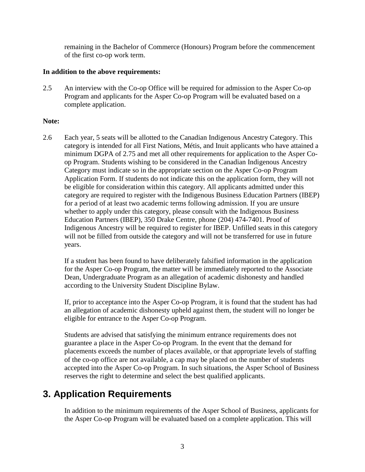remaining in the Bachelor of Commerce (Honours) Program before the commencement of the first co-op work term.

#### **In addition to the above requirements:**

2.5 An interview with the Co-op Office will be required for admission to the Asper Co-op Program and applicants for the Asper Co-op Program will be evaluated based on a complete application.

### **Note:**

2.6 Each year, 5 seats will be allotted to the Canadian Indigenous Ancestry Category. This category is intended for all First Nations, Métis, and Inuit applicants who have attained a minimum DGPA of 2.75 and met all other requirements for application to the Asper Coop Program. Students wishing to be considered in the Canadian Indigenous Ancestry Category must indicate so in the appropriate section on the Asper Co-op Program Application Form. If students do not indicate this on the application form, they will not be eligible for consideration within this category. All applicants admitted under this category are required to register with the Indigenous Business Education Partners (IBEP) for a period of at least two academic terms following admission. If you are unsure whether to apply under this category, please consult with the Indigenous Business Education Partners (IBEP), 350 Drake Centre, phone [\(204\) 474-7401.](tel:(204)%20474-7401) Proof of Indigenous Ancestry will be required to register for IBEP. Unfilled seats in this category will not be filled from outside the category and will not be transferred for use in future years.

If a student has been found to have deliberately falsified information in the application for the Asper Co-op Program, the matter will be immediately reported to the Associate Dean, Undergraduate Program as an allegation of academic dishonesty and handled according to the University Student Discipline Bylaw.

If, prior to acceptance into the Asper Co-op Program, it is found that the student has had an allegation of academic dishonesty upheld against them, the student will no longer be eligible for entrance to the Asper Co-op Program.

Students are advised that satisfying the minimum entrance requirements does not guarantee a place in the Asper Co-op Program. In the event that the demand for placements exceeds the number of places available, or that appropriate levels of staffing of the co-op office are not available, a cap may be placed on the number of students accepted into the Asper Co-op Program. In such situations, the Asper School of Business reserves the right to determine and select the best qualified applicants.

# **3. Application Requirements**

In addition to the minimum requirements of the Asper School of Business, applicants for the Asper Co-op Program will be evaluated based on a complete application. This will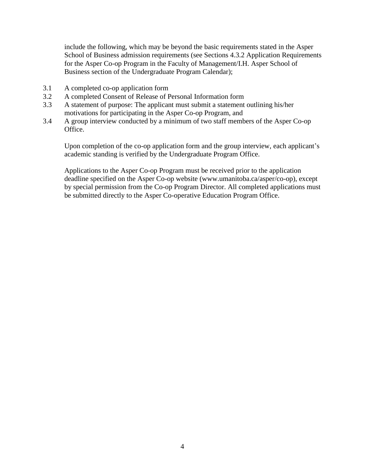include the following, which may be beyond the basic requirements stated in the Asper School of Business admission requirements (see Sections 4.3.2 Application Requirements for the Asper Co-op Program in the Faculty of Management/I.H. Asper School of Business section of the Undergraduate Program Calendar);

- 3.1 A completed co-op application form
- 3.2 A completed Consent of Release of Personal Information form
- 3.3 A statement of purpose: The applicant must submit a statement outlining his/her motivations for participating in the Asper Co-op Program, and
- 3.4 A group interview conducted by a minimum of two staff members of the Asper Co-op Office.

Upon completion of the co-op application form and the group interview, each applicant's academic standing is verified by the Undergraduate Program Office.

Applications to the Asper Co-op Program must be received prior to the application deadline specified on the Asper Co-op website (www.umanitoba.ca/asper/co-op), except by special permission from the Co-op Program Director. All completed applications must be submitted directly to the Asper Co-operative Education Program Office.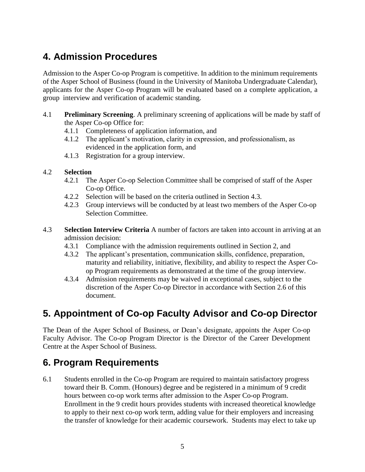# **4. Admission Procedures**

Admission to the Asper Co-op Program is competitive. In addition to the minimum requirements of the Asper School of Business (found in the University of Manitoba Undergraduate Calendar), applicants for the Asper Co-op Program will be evaluated based on a complete application, a group interview and verification of academic standing.

- 4.1 **Preliminary Screening**. A preliminary screening of applications will be made by staff of the Asper Co-op Office for:
	- 4.1.1 Completeness of application information, and
	- 4.1.2 The applicant's motivation, clarity in expression, and professionalism, as evidenced in the application form, and
	- 4.1.3 Registration for a group interview.

### 4.2 **Selection**

- 4.2.1 The Asper Co-op Selection Committee shall be comprised of staff of the Asper Co-op Office.
- 4.2.2 Selection will be based on the criteria outlined in Section 4.3.
- 4.2.3 Group interviews will be conducted by at least two members of the Asper Co-op Selection Committee.
- 4.3 **Selection Interview Criteria** A number of factors are taken into account in arriving at an admission decision:
	- 4.3.1 Compliance with the admission requirements outlined in Section 2, and
	- 4.3.2 The applicant's presentation, communication skills, confidence, preparation, maturity and reliability, initiative, flexibility, and ability to respect the Asper Coop Program requirements as demonstrated at the time of the group interview.
	- 4.3.4 Admission requirements may be waived in exceptional cases, subject to the discretion of the Asper Co-op Director in accordance with Section 2.6 of this document.

# **5. Appointment of Co-op Faculty Advisor and Co-op Director**

The Dean of the Asper School of Business, or Dean's designate, appoints the Asper Co-op Faculty Advisor. The Co-op Program Director is the Director of the Career Development Centre at the Asper School of Business.

# **6. Program Requirements**

6.1 Students enrolled in the Co-op Program are required to maintain satisfactory progress toward their B. Comm. (Honours) degree and be registered in a minimum of 9 credit hours between co-op work terms after admission to the Asper Co-op Program. Enrollment in the 9 credit hours provides students with increased theoretical knowledge to apply to their next co-op work term, adding value for their employers and increasing the transfer of knowledge for their academic coursework. Students may elect to take up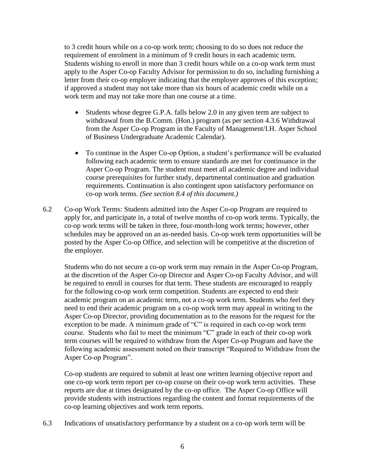to 3 credit hours while on a co-op work term; choosing to do so does not reduce the requirement of enrolment in a minimum of 9 credit hours in each academic term. Students wishing to enroll in more than 3 credit hours while on a co-op work term must apply to the Asper Co-op Faculty Advisor for permission to do so, including furnishing a letter from their co-op employer indicating that the employer approves of this exception; if approved a student may not take more than six hours of academic credit while on a work term and may not take more than one course at a time.

- Students whose degree G.P.A. falls below 2.0 in any given term are subject to withdrawal from the B.Comm. (Hon.) program (as per section 4.3.6 Withdrawal from the Asper Co-op Program in the Faculty of Management/I.H. Asper School of Business Undergraduate Academic Calendar).
- To continue in the Asper Co-op Option, a student's performance will be evaluated following each academic term to ensure standards are met for continuance in the Asper Co-op Program. The student must meet all academic degree and individual course prerequisites for further study, departmental continuation and graduation requirements. Continuation is also contingent upon satisfactory performance on co-op work terms. *(See section 8.4 of this document.)*
- 6.2 Co-op Work Terms: Students admitted into the Asper Co-op Program are required to apply for, and participate in, a total of twelve months of co-op work terms. Typically, the co-op work terms will be taken in three, four-month-long work terms; however, other schedules may be approved on an as-needed basis. Co-op work term opportunities will be posted by the Asper Co-op Office, and selection will be competitive at the discretion of the employer.

Students who do not secure a co-op work term may remain in the Asper Co-op Program, at the discretion of the Asper Co-op Director and Asper Co-op Faculty Advisor, and will be required to enroll in courses for that term. These students are encouraged to reapply for the following co-op work term competition. Students are expected to end their academic program on an academic term, not a co-op work term. Students who feel they need to end their academic program on a co-op work term may appeal in writing to the Asper Co-op Director, providing documentation as to the reasons for the request for the exception to be made. A minimum grade of "C" is required in each co-op work term course. Students who fail to meet the minimum "C" grade in each of their co-op work term courses will be required to withdraw from the Asper Co-op Program and have the following academic assessment noted on their transcript "Required to Withdraw from the Asper Co-op Program".

Co-op students are required to submit at least one written learning objective report and one co-op work term report per co-op course on their co-op work term activities. These reports are due at times designated by the co-op office. The Asper Co-op Office will provide students with instructions regarding the content and format requirements of the co-op learning objectives and work term reports.

6.3 Indications of unsatisfactory performance by a student on a co-op work term will be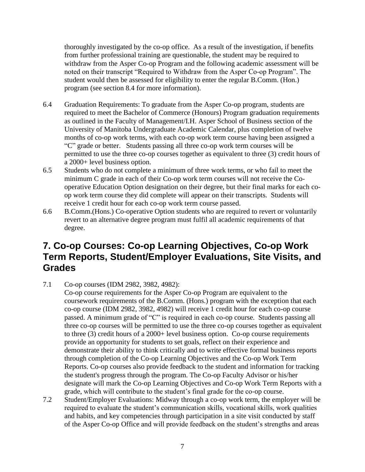thoroughly investigated by the co-op office. As a result of the investigation, if benefits from further professional training are questionable, the student may be required to withdraw from the Asper Co-op Program and the following academic assessment will be noted on their transcript "Required to Withdraw from the Asper Co-op Program". The student would then be assessed for eligibility to enter the regular B.Comm. (Hon.) program (see section 8.4 for more information).

- 6.4 Graduation Requirements: To graduate from the Asper Co-op program, students are required to meet the Bachelor of Commerce (Honours) Program graduation requirements as outlined in the Faculty of Management/I.H. Asper School of Business section of the University of Manitoba Undergraduate Academic Calendar, plus completion of twelve months of co-op work terms, with each co-op work term course having been assigned a "C" grade or better. Students passing all three co-op work term courses will be permitted to use the three co-op courses together as equivalent to three (3) credit hours of a 2000+ level business option.
- 6.5 Students who do not complete a minimum of three work terms, or who fail to meet the minimum C grade in each of their Co-op work term courses will not receive the Cooperative Education Option designation on their degree, but their final marks for each coop work term course they did complete will appear on their transcripts. Students will receive 1 credit hour for each co-op work term course passed.
- 6.6 B.Comm.(Hons.) Co-operative Option students who are required to revert or voluntarily revert to an alternative degree program must fulfil all academic requirements of that degree.

# **7. Co-op Courses: Co-op Learning Objectives, Co-op Work Term Reports, Student/Employer Evaluations, Site Visits, and Grades**

7.1 Co-op courses (IDM 2982, 3982, 4982):

Co-op course requirements for the Asper Co-op Program are equivalent to the coursework requirements of the B.Comm. (Hons.) program with the exception that each co-op course (IDM 2982, 3982, 4982) will receive 1 credit hour for each co-op course passed. A minimum grade of "C" is required in each co-op course. Students passing all three co-op courses will be permitted to use the three co-op courses together as equivalent to three (3) credit hours of a 2000+ level business option. Co-op course requirements provide an opportunity for students to set goals, reflect on their experience and demonstrate their ability to think critically and to write effective formal business reports through completion of the Co-op Learning Objectives and the Co-op Work Term Reports. Co-op courses also provide feedback to the student and information for tracking the student's progress through the program. The Co-op Faculty Advisor or his/her designate will mark the Co-op Learning Objectives and Co-op Work Term Reports with a grade, which will contribute to the student's final grade for the co-op course.

7.2 Student/Employer Evaluations: Midway through a co-op work term, the employer will be required to evaluate the student's communication skills, vocational skills, work qualities and habits, and key competencies through participation in a site visit conducted by staff of the Asper Co-op Office and will provide feedback on the student's strengths and areas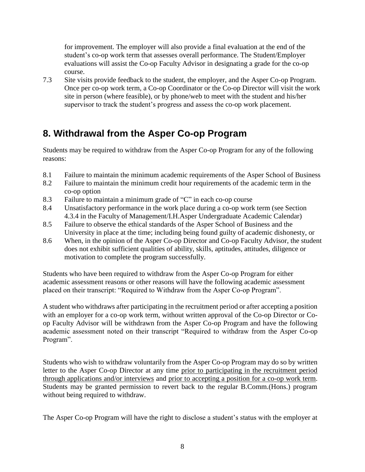for improvement. The employer will also provide a final evaluation at the end of the student's co-op work term that assesses overall performance. The Student/Employer evaluations will assist the Co-op Faculty Advisor in designating a grade for the co-op course.

7.3 Site visits provide feedback to the student, the employer, and the Asper Co-op Program. Once per co-op work term, a Co-op Coordinator or the Co-op Director will visit the work site in person (where feasible), or by phone/web to meet with the student and his/her supervisor to track the student's progress and assess the co-op work placement.

# **8. Withdrawal from the Asper Co-op Program**

Students may be required to withdraw from the Asper Co-op Program for any of the following reasons:

- 8.1 Failure to maintain the minimum academic requirements of the Asper School of Business
- 8.2 Failure to maintain the minimum credit hour requirements of the academic term in the co-op option
- 8.3 Failure to maintain a minimum grade of "C" in each co-op course
- 8.4 Unsatisfactory performance in the work place during a co-op work term (see Section 4.3.4 in the Faculty of Management/I.H.Asper Undergraduate Academic Calendar)
- 8.5 Failure to observe the ethical standards of the Asper School of Business and the University in place at the time; including being found guilty of academic dishonesty, or
- 8.6 When, in the opinion of the Asper Co-op Director and Co-op Faculty Advisor, the student does not exhibit sufficient qualities of ability, skills, aptitudes, attitudes, diligence or motivation to complete the program successfully.

Students who have been required to withdraw from the Asper Co-op Program for either academic assessment reasons or other reasons will have the following academic assessment placed on their transcript: "Required to Withdraw from the Asper Co-op Program".

A student who withdraws after participating in the recruitment period or after accepting a position with an employer for a co-op work term, without written approval of the Co-op Director or Coop Faculty Advisor will be withdrawn from the Asper Co-op Program and have the following academic assessment noted on their transcript "Required to withdraw from the Asper Co-op Program".

Students who wish to withdraw voluntarily from the Asper Co-op Program may do so by written letter to the Asper Co-op Director at any time prior to participating in the recruitment period through applications and/or interviews and prior to accepting a position for a co-op work term. Students may be granted permission to revert back to the regular B.Comm.(Hons.) program without being required to withdraw.

The Asper Co-op Program will have the right to disclose a student's status with the employer at